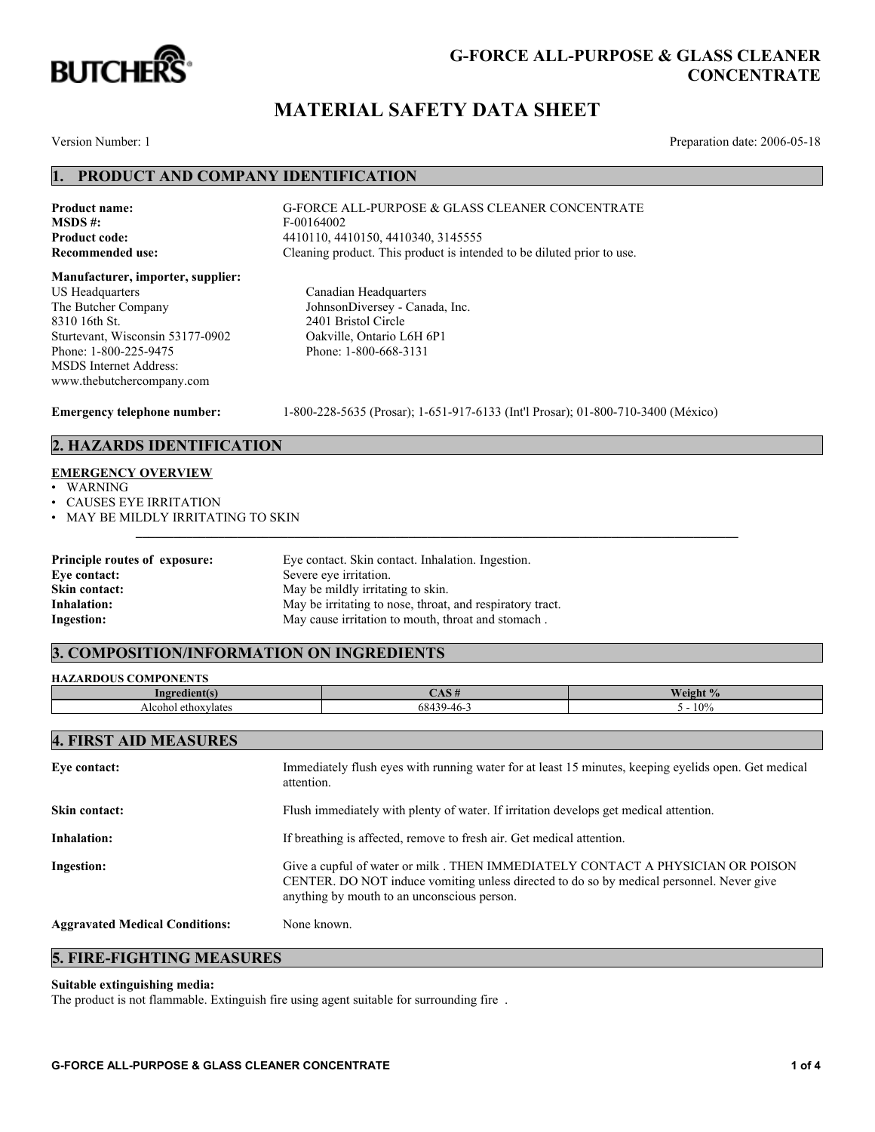

## **G-FORCE ALL-PURPOSE & GLASS CLEANER CONCENTRATE**

# **MATERIAL SAFETY DATA SHEET**

#### Version Number: 1 Preparation date: 2006-05-18

## **1. PRODUCT AND COMPANY IDENTIFICATION**

| <b>Product name:</b> | G-FORCE ALL-PURPOSE & GLASS CLEANER CONCENTRATE                        |
|----------------------|------------------------------------------------------------------------|
| MSDS #:              | F-00164002                                                             |
| <b>Product code:</b> | 4410110, 4410150, 4410340, 3145555                                     |
| Recommended use:     | Cleaning product. This product is intended to be diluted prior to use. |

**Manufacturer, importer, supplier:**

US Headquarters The Butcher Company 8310 16th St. Sturtevant, Wisconsin 53177-0902 Phone: 1-800-225-9475 MSDS Internet Address: www.thebutchercompany.com

Canadian Headquarters JohnsonDiversey - Canada, Inc. 2401 Bristol Circle Oakville, Ontario L6H 6P1 Phone: 1-800-668-3131

**Emergency telephone number:** 1-800-228-5635 (Prosar); 1-651-917-6133 (Int'l Prosar); 01-800-710-3400 (México)

## **2. HAZARDS IDENTIFICATION**

### **EMERGENCY OVERVIEW**

- WARNING
- CAUSES EYE IRRITATION
- MAY BE MILDLY IRRITATING TO SKIN

| <b>Principle routes of exposure:</b> | Eye contact. Skin contact. Inhalation. Ingestion.         |  |
|--------------------------------------|-----------------------------------------------------------|--|
| Eye contact:                         | Severe eye irritation.                                    |  |
| Skin contact:                        | May be mildly irritating to skin.                         |  |
| Inhalation:                          | May be irritating to nose, throat, and respiratory tract. |  |
| <b>Ingestion:</b>                    | May cause irritation to mouth, throat and stomach.        |  |

## **3. COMPOSITION/INFORMATION ON INGREDIENTS**

# **HAZARDOUS COMPONENTS**

| nor                      | $\sim$ $\sim$              | $\Omega$ |
|--------------------------|----------------------------|----------|
| odion                    | <u>лют</u>                 | Veigh    |
| Alcohol -<br>ethoxylates | $601^\circ$<br>0042<br>. . | 10%      |

**\_\_\_\_\_\_\_\_\_\_\_\_\_\_\_\_\_\_\_\_\_\_\_\_\_\_\_\_\_\_\_\_\_\_\_\_\_\_\_\_\_\_\_\_\_\_\_\_\_\_\_\_\_\_\_\_\_\_\_\_\_\_\_\_\_\_\_\_\_\_\_\_\_\_\_\_\_\_\_\_\_\_\_\_\_\_\_\_\_\_\_\_\_\_\_** 

## **4. FIRST AID MEASURES**

| Eye contact:                          | Immediately flush eyes with running water for at least 15 minutes, keeping eyelids open. Get medical<br>attention.                                                                                                        |  |
|---------------------------------------|---------------------------------------------------------------------------------------------------------------------------------------------------------------------------------------------------------------------------|--|
| Skin contact:                         | Flush immediately with plenty of water. If irritation develops get medical attention.                                                                                                                                     |  |
| <b>Inhalation:</b>                    | If breathing is affected, remove to fresh air. Get medical attention.                                                                                                                                                     |  |
| <b>Ingestion:</b>                     | Give a cupful of water or milk. THEN IMMEDIATELY CONTACT A PHYSICIAN OR POISON<br>CENTER. DO NOT induce vomiting unless directed to do so by medical personnel. Never give<br>anything by mouth to an unconscious person. |  |
| <b>Aggravated Medical Conditions:</b> | None known.                                                                                                                                                                                                               |  |

## **5. FIRE-FIGHTING MEASURES**

#### **Suitable extinguishing media:**

The product is not flammable. Extinguish fire using agent suitable for surrounding fire .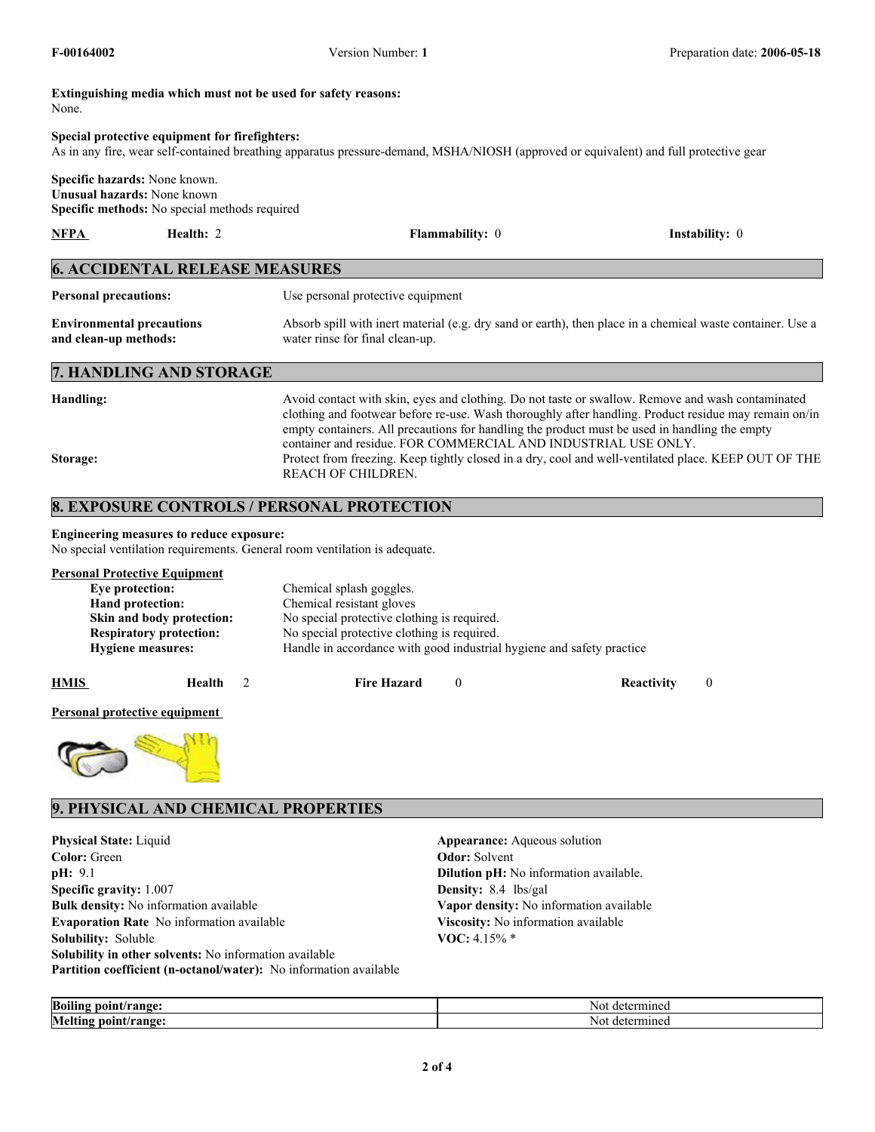**Extinguishing media which must not be used for safety reasons:** None.

**Special protective equipment for firefighters:**

As in any fire, wear self-contained breathing apparatus pressure-demand, MSHA/NIOSH (approved or equivalent) and full protective gear

**Specific hazards:** None known. **Unusual hazards:** None known **Specific methods:** No special methods required

| <b>NFPA</b>                                               | Health: 2                             | <b>Flammability:</b> 0                                                                                                                        | <b>Instability:</b> 0 |
|-----------------------------------------------------------|---------------------------------------|-----------------------------------------------------------------------------------------------------------------------------------------------|-----------------------|
|                                                           | <b>6. ACCIDENTAL RELEASE MEASURES</b> |                                                                                                                                               |                       |
| <b>Personal precautions:</b>                              |                                       | Use personal protective equipment                                                                                                             |                       |
| <b>Environmental precautions</b><br>and clean-up methods: |                                       | Absorb spill with inert material (e.g. dry sand or earth), then place in a chemical waste container. Use a<br>water rinse for final clean-up. |                       |
|                                                           | 7. HANDLING AND STORAGE               |                                                                                                                                               |                       |

**Handling:** Avoid contact with skin, eyes and clothing. Do not taste or swallow. Remove and wash contaminated clothing and footwear before re-use. Wash thoroughly after handling. Product residue may remain on/in empty containers. All precautions for handling the product must be used in handling the empty container and residue. FOR COMMERCIAL AND INDUSTRIAL USE ONLY. **Storage:** Protect from freezing. Keep tightly closed in a dry, cool and well-ventilated place. KEEP OUT OF THE REACH OF CHILDREN.

## **8. EXPOSURE CONTROLS / PERSONAL PROTECTION**

#### **Engineering measures to reduce exposure:**

No special ventilation requirements. General room ventilation is adequate.

|  | <b>Personal Protective Equipment</b> |
|--|--------------------------------------|
|  |                                      |

| Eye protection:                | Chemical splash goggles.                                              |
|--------------------------------|-----------------------------------------------------------------------|
| <b>Hand protection:</b>        | Chemical resistant gloves                                             |
| Skin and body protection:      | No special protective clothing is required.                           |
| <b>Respiratory protection:</b> | No special protective clothing is required.                           |
| <b>Hygiene measures:</b>       | Handle in accordance with good industrial hygiene and safety practice |

**HMIS** 

**Health**  2 **Fire Hazard** 0

**Reactivity**   $\theta$ 

**Personal protective equipment** 



## **9. PHYSICAL AND CHEMICAL PROPERTIES**

**Solubility in other solvents:** No information available **Partition coefficient (n-octanol/water):** No information available **pH:** 9.1 **Dilution pH:** No information available. **Specific gravity:** 1.007 **Density:** 8.4lbs/gal **Bulk density:** No information available **Evaporation Rate** No information available **Solubility:** Soluble **VOC:**  $4.15\%$  \* **Physical State:** Liquid **Color:** Green

**Vapor density:** No information available **Viscosity:** No information available **Appearance:** Aqueous solution **Odor:** Solvent

| <b>Boili</b><br>ange:<br>$\sim$ $\sim$ $\sim$ | . |
|-----------------------------------------------|---|
| Melting<br>$\ldots$ ang $\circ$<br>n          |   |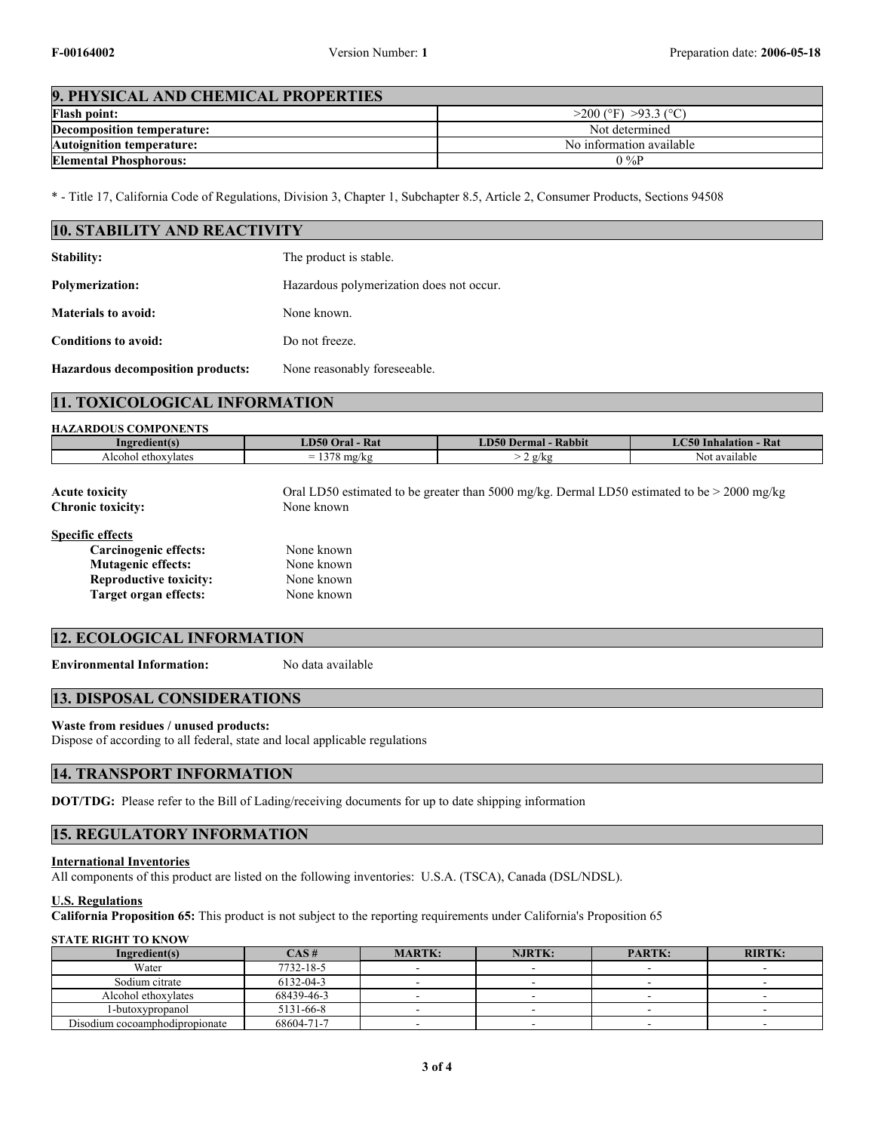| 9. PHYSICAL AND CHEMICAL PROPERTIES |                          |  |  |
|-------------------------------------|--------------------------|--|--|
| <b>Flash point:</b>                 | $>200$ (°F) $>93.3$ (°C) |  |  |
| <b>Decomposition temperature:</b>   | Not determined           |  |  |
| Autoignition temperature:           | No information available |  |  |
| <b>Elemental Phosphorous:</b>       | $0\%P$                   |  |  |

\* - Title 17, California Code of Regulations, Division 3, Chapter 1, Subchapter 8.5, Article 2, Consumer Products, Sections 94508

| <b>10. STABILITY AND REACTIVITY</b>      |                                          |  |  |
|------------------------------------------|------------------------------------------|--|--|
| Stability:                               | The product is stable.                   |  |  |
| <b>Polymerization:</b>                   | Hazardous polymerization does not occur. |  |  |
| <b>Materials to avoid:</b>               | None known.                              |  |  |
| <b>Conditions to avoid:</b>              | Do not freeze.                           |  |  |
| <b>Hazardous decomposition products:</b> | None reasonably foreseeable.             |  |  |

## **11. TOXICOLOGICAL INFORMATION**

| <b>HAZARDOUS COMPONENTS</b> |
|-----------------------------|
|                             |

| Ingredient             | DEA<br>Kai                               | $\sim$ $\sim$<br><b>Rabbit</b><br>Jermal | 30°<br><b>Rat</b><br>Inhalation |
|------------------------|------------------------------------------|------------------------------------------|---------------------------------|
| Alcohol<br>ethoxylates | $\overline{\phantom{a}}$<br>, mg/ki<br>_ | $\sqrt{\alpha}/r$<br>$\epsilon$ is a     | Not available                   |
|                        |                                          |                                          |                                 |

**Chronic toxicity:** None known

**Acute toxicity** Oral LD50 estimated to be greater than 5000 mg/kg. Dermal LD50 estimated to be > 2000 mg/kg

#### **Specific effects**

| None known |
|------------|
| None known |
| None known |
| None known |
|            |

## **12. ECOLOGICAL INFORMATION**

**Environmental Information:** No data available

# **13. DISPOSAL CONSIDERATIONS**

### **Waste from residues / unused products:**

Dispose of according to all federal, state and local applicable regulations

## **14. TRANSPORT INFORMATION**

**DOT/TDG:** Please refer to the Bill of Lading/receiving documents for up to date shipping information

## **15. REGULATORY INFORMATION**

#### **International Inventories**

All components of this product are listed on the following inventories: U.S.A. (TSCA), Canada (DSL/NDSL).

### **U.S. Regulations**

**California Proposition 65:** This product is not subject to the reporting requirements under California's Proposition 65

#### **STATE RIGHT TO KNOW**

| Ingredient(s)                  | CAS#       | <b>MARTK:</b> | <b>NJRTK:</b> | <b>PARTK:</b> | <b>RIRTK:</b> |
|--------------------------------|------------|---------------|---------------|---------------|---------------|
| Water                          | 7732-18-5  |               |               |               |               |
| Sodium citrate                 | 6132-04-3  |               |               |               |               |
| Alcohol ethoxylates            | 68439-46-3 |               |               |               |               |
| l-butoxypropanol               | 5131-66-8  | -             | -             |               |               |
| Disodium cocoamphodipropionate | 68604-71-7 |               | -             |               |               |